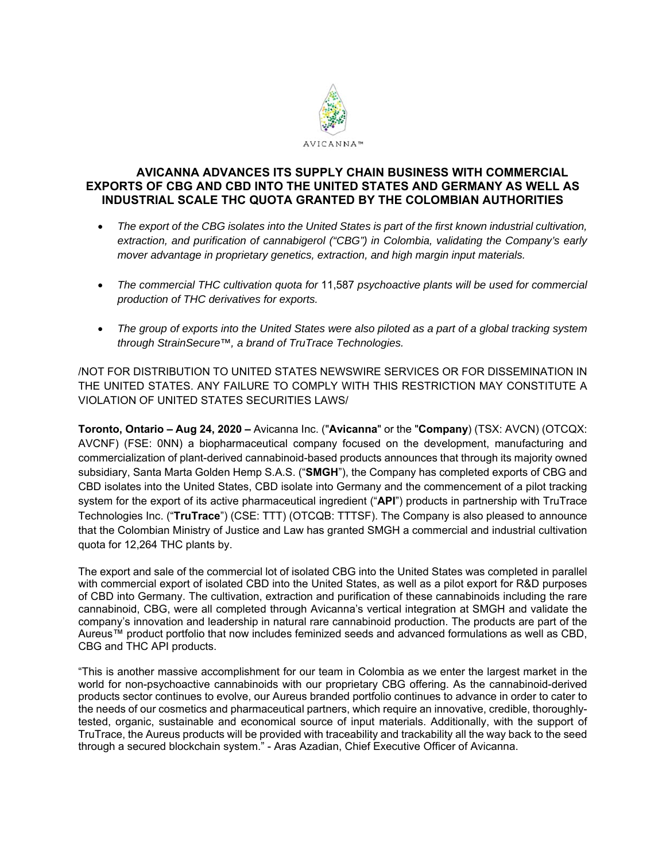

# **AVICANNA ADVANCES ITS SUPPLY CHAIN BUSINESS WITH COMMERCIAL EXPORTS OF CBG AND CBD INTO THE UNITED STATES AND GERMANY AS WELL AS INDUSTRIAL SCALE THC QUOTA GRANTED BY THE COLOMBIAN AUTHORITIES**

- *The export of the CBG isolates into the United States is part of the first known industrial cultivation, extraction, and purification of cannabigerol ("CBG") in Colombia, validating the Company's early mover advantage in proprietary genetics, extraction, and high margin input materials.*
- *The commercial THC cultivation quota for* 11,587 *psychoactive plants will be used for commercial production of THC derivatives for exports.*
- *The group of exports into the United States were also piloted as a part of a global tracking system through StrainSecure™, a brand of TruTrace Technologies.*

/NOT FOR DISTRIBUTION TO UNITED STATES NEWSWIRE SERVICES OR FOR DISSEMINATION IN THE UNITED STATES. ANY FAILURE TO COMPLY WITH THIS RESTRICTION MAY CONSTITUTE A VIOLATION OF UNITED STATES SECURITIES LAWS/

**Toronto, Ontario – Aug 24, 2020 –** Avicanna Inc. ("**Avicanna**" or the "**Company**) (TSX: AVCN) (OTCQX: AVCNF) (FSE: 0NN) a biopharmaceutical company focused on the development, manufacturing and commercialization of plant-derived cannabinoid-based products announces that through its majority owned subsidiary, Santa Marta Golden Hemp S.A.S. ("**SMGH**"), the Company has completed exports of CBG and CBD isolates into the United States, CBD isolate into Germany and the commencement of a pilot tracking system for the export of its active pharmaceutical ingredient ("**API**") products in partnership with TruTrace Technologies Inc. ("**TruTrace**") (CSE: TTT) (OTCQB: TTTSF). The Company is also pleased to announce that the Colombian Ministry of Justice and Law has granted SMGH a commercial and industrial cultivation quota for 12,264 THC plants by.

The export and sale of the commercial lot of isolated CBG into the United States was completed in parallel with commercial export of isolated CBD into the United States, as well as a pilot export for R&D purposes of CBD into Germany. The cultivation, extraction and purification of these cannabinoids including the rare cannabinoid, CBG, were all completed through Avicanna's vertical integration at SMGH and validate the company's innovation and leadership in natural rare cannabinoid production. The products are part of the Aureus™ product portfolio that now includes feminized seeds and advanced formulations as well as CBD, CBG and THC API products.

"This is another massive accomplishment for our team in Colombia as we enter the largest market in the world for non-psychoactive cannabinoids with our proprietary CBG offering. As the cannabinoid-derived products sector continues to evolve, our Aureus branded portfolio continues to advance in order to cater to the needs of our cosmetics and pharmaceutical partners, which require an innovative, credible, thoroughlytested, organic, sustainable and economical source of input materials. Additionally, with the support of TruTrace, the Aureus products will be provided with traceability and trackability all the way back to the seed through a secured blockchain system." - Aras Azadian, Chief Executive Officer of Avicanna.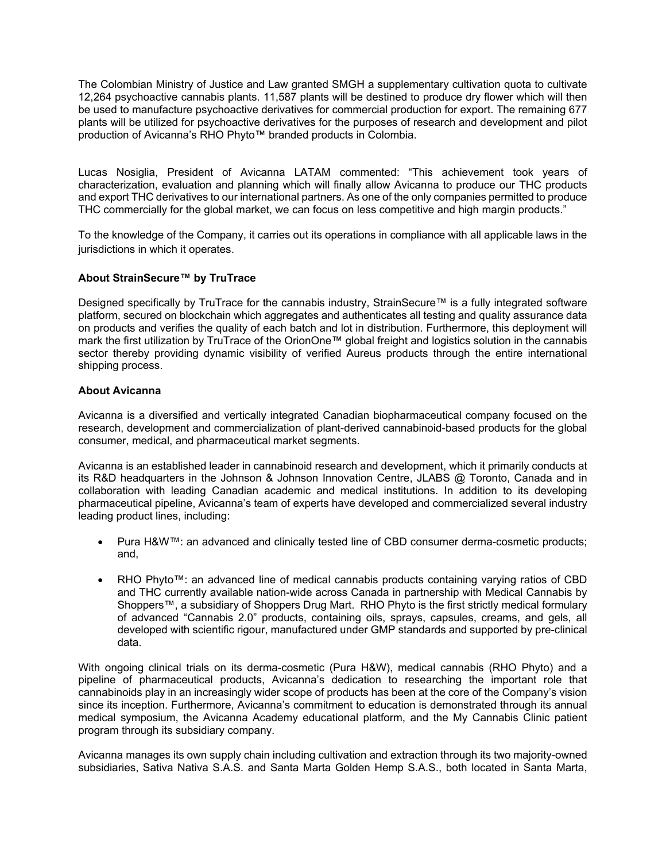The Colombian Ministry of Justice and Law granted SMGH a supplementary cultivation quota to cultivate 12,264 psychoactive cannabis plants. 11,587 plants will be destined to produce dry flower which will then be used to manufacture psychoactive derivatives for commercial production for export. The remaining 677 plants will be utilized for psychoactive derivatives for the purposes of research and development and pilot production of Avicanna's RHO Phyto™ branded products in Colombia.

Lucas Nosiglia, President of Avicanna LATAM commented: "This achievement took years of characterization, evaluation and planning which will finally allow Avicanna to produce our THC products and export THC derivatives to our international partners. As one of the only companies permitted to produce THC commercially for the global market, we can focus on less competitive and high margin products."

To the knowledge of the Company, it carries out its operations in compliance with all applicable laws in the jurisdictions in which it operates.

## **About StrainSecure™ by TruTrace**

Designed specifically by TruTrace for the cannabis industry, StrainSecure™ is a fully integrated software platform, secured on blockchain which aggregates and authenticates all testing and quality assurance data on products and verifies the quality of each batch and lot in distribution. Furthermore, this deployment will mark the first utilization by TruTrace of the OrionOne™ global freight and logistics solution in the cannabis sector thereby providing dynamic visibility of verified Aureus products through the entire international shipping process.

### **About Avicanna**

Avicanna is a diversified and vertically integrated Canadian biopharmaceutical company focused on the research, development and commercialization of plant-derived cannabinoid-based products for the global consumer, medical, and pharmaceutical market segments.

Avicanna is an established leader in cannabinoid research and development, which it primarily conducts at its R&D headquarters in the Johnson & Johnson Innovation Centre, JLABS @ Toronto, Canada and in collaboration with leading Canadian academic and medical institutions. In addition to its developing pharmaceutical pipeline, Avicanna's team of experts have developed and commercialized several industry leading product lines, including:

- Pura H&W™: an advanced and clinically tested line of CBD consumer derma-cosmetic products; and,
- RHO Phyto™: an advanced line of medical cannabis products containing varying ratios of CBD and THC currently available nation-wide across Canada in partnership with Medical Cannabis by Shoppers™, a subsidiary of Shoppers Drug Mart. RHO Phyto is the first strictly medical formulary of advanced "Cannabis 2.0" products, containing oils, sprays, capsules, creams, and gels, all developed with scientific rigour, manufactured under GMP standards and supported by pre-clinical data.

With ongoing clinical trials on its derma-cosmetic (Pura H&W), medical cannabis (RHO Phyto) and a pipeline of pharmaceutical products, Avicanna's dedication to researching the important role that cannabinoids play in an increasingly wider scope of products has been at the core of the Company's vision since its inception. Furthermore, Avicanna's commitment to education is demonstrated through its annual medical symposium, the Avicanna Academy educational platform, and the My Cannabis Clinic patient program through its subsidiary company.

Avicanna manages its own supply chain including cultivation and extraction through its two majority-owned subsidiaries, Sativa Nativa S.A.S. and Santa Marta Golden Hemp S.A.S., both located in Santa Marta,